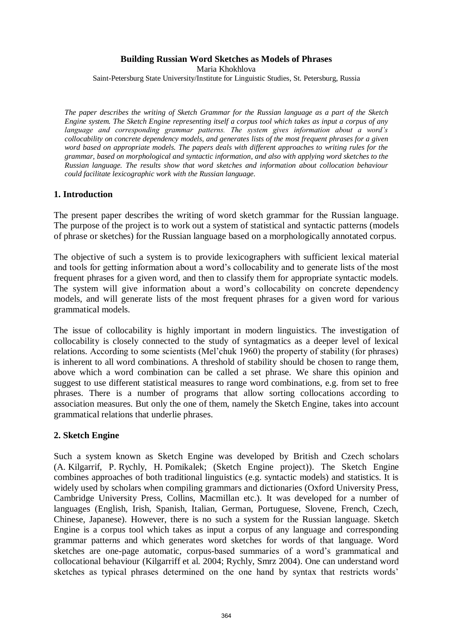### **Building Russian Word Sketches as Models of Phrases**

Maria Khokhlova

Saint-Petersburg State University/Institute for Linguistic Studies, St. Petersburg, Russia

*The paper describes the writing of Sketch Grammar for the Russian language as a part of the Sketch Engine system. The Sketch Engine representing itself a corpus tool which takes as input a corpus of any language and corresponding grammar patterns. The system gives information about a word's collocability on concrete dependency models, and generates lists of the most frequent phrases for a given word based on appropriate models. The papers deals with different approaches to writing rules for the grammar, based on morphological and syntactic information, and also with applying word sketches to the Russian language. The results show that word sketches and information about collocation behaviour could facilitate lexicographic work with the Russian language.* 

### **1. Introduction**

The present paper describes the writing of word sketch grammar for the Russian language. The purpose of the project is to work out a system of statistical and syntactic patterns (models of phrase or sketches) for the Russian language based on a morphologically annotated corpus.

The objective of such a system is to provide lexicographers with sufficient lexical material and tools for getting information about a word's collocability and to generate lists of the most frequent phrases for a given word, and then to classify them for appropriate syntactic models. The system will give information about a word's collocability on concrete dependency models, and will generate lists of the most frequent phrases for a given word for various grammatical models.

The issue of collocability is highly important in modern linguistics. The investigation of collocability is closely connected to the study of syntagmatics as a deeper level of lexical relations. According to some scientists (Mel'chuk 1960) the property of stability (for phrases) is inherent to all word combinations. A threshold of stability should be chosen to range them, above which a word combination can be called a set phrase. We share this opinion and suggest to use different statistical measures to range word combinations, e.g. from set to free phrases. There is a number of programs that allow sorting collocations according to association measures. But only the one of them, namely the Sketch Engine, takes into account grammatical relations that underlie phrases.

### **2. Sketch Engine**

Such a system known as Sketch Engine was developed by British and Czech scholars (A. Kilgarrif, P. Rychly, H. Pomikalek; (Sketch Engine project)). The Sketch Engine combines approaches of both traditional linguistics (e.g. syntactic models) and statistics. It is widely used by scholars when compiling grammars and dictionaries (Oxford University Press, Cambridge University Press, Collins, Macmillan etc.). It was developed for a number of languages (English, Irish, Spanish, Italian, German, Portuguese, Slovene, French, Czech, Chinese, Japanese). However, there is no such a system for the Russian language. Sketch Engine is a corpus tool which takes as input a corpus of any language and corresponding grammar patterns and which generates word sketches for words of that language. Word sketches are one-page automatic, corpus-based summaries of a word's grammatical and collocational behaviour (Kilgarriff et al. 2004; Rychly, Smrz 2004). One can understand word sketches as typical phrases determined on the one hand by syntax that restricts words'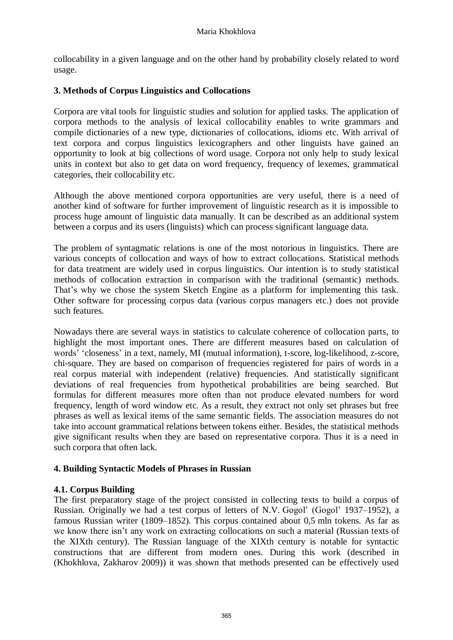collocability in a given language and on the other hand by probability closely related to word usage.

# **3. Methods of Corpus Linguistics and Collocations**

Corpora are vital tools for linguistic studies and solution for applied tasks. The application of corpora methods to the analysis of lexical collocability enables to write grammars and compile dictionaries of a new type, dictionaries of collocations, idioms etc. With arrival of text corpora and corpus linguistics lexicographers and other linguists have gained an opportunity to look at big collections of word usage. Corpora not only help to study lexical units in context but also to get data on word frequency, frequency of lexemes, grammatical categories, their collocability etc.

Although the above mentioned corpora opportunities are very useful, there is a need of another kind of software for further improvement of linguistic research as it is impossible to process huge amount of linguistic data manually. It can be described as an additional system between a corpus and its users (linguists) which can process significant language data.

The problem of syntagmatic relations is one of the most notorious in linguistics. There are various concepts of collocation and ways of how to extract collocations. Statistical methods for data treatment are widely used in corpus linguistics. Our intention is to study statistical methods of collocation extraction in comparison with the traditional (semantic) methods. That's why we chose the system Sketch Engine as a platform for implementing this task. Other software for processing corpus data (various corpus managers etc.) does not provide such features.

Nowadays there are several ways in statistics to calculate coherence of collocation parts, to highlight the most important ones. There are different measures based on calculation of words' 'closeness' in a text, namely, MI (mutual information), t-score, log-likelihood, z-score, chi-square. They are based on comparison of frequencies registered for pairs of words in a real corpus material with independent (relative) frequencies. And statistically significant deviations of real frequencies from hypothetical probabilities are being searched. But formulas for different measures more often than not produce elevated numbers for word frequency, length of word window etc. As a result, they extract not only set phrases but free phrases as well as lexical items of the same semantic fields. The association measures do not take into account grammatical relations between tokens either. Besides, the statistical methods give significant results when they are based on representative corpora. Thus it is a need in such corpora that often lack.

## **4. Building Syntactic Models of Phrases in Russian**

## **4.1. Corpus Building**

The first preparatory stage of the project consisted in collecting texts to build a corpus of Russian. Originally we had a test corpus of letters of N.V. Gogol' (Gogol' 1937–1952), a famous Russian writer (1809–1852). This corpus contained about 0,5 mln tokens. As far as we know there isn't any work on extracting collocations on such a material (Russian texts of the XIXth century). The Russian language of the XIXth century is notable for syntactic constructions that are different from modern ones. During this work (described in (Khokhlova, Zakharov 2009)) it was shown that methods presented can be effectively used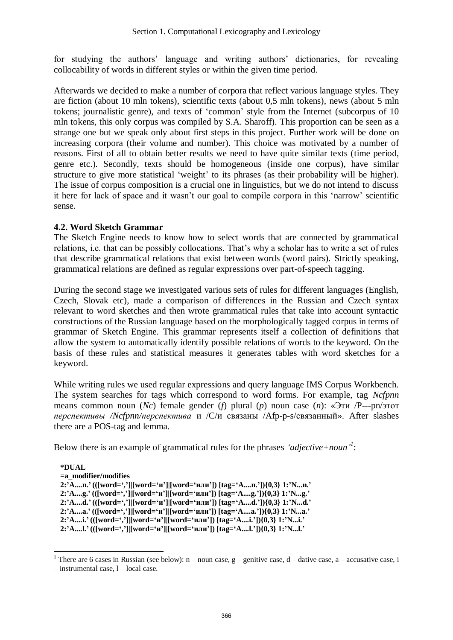for studying the authors' language and writing authors' dictionaries, for revealing collocability of words in different styles or within the given time period.

Afterwards we decided to make a number of corpora that reflect various language styles. They are fiction (about 10 mln tokens), scientific texts (about 0,5 mln tokens), news (about 5 mln tokens; journalistic genre), and texts of 'common' style from the Internet (subcorpus of 10 mln tokens, this only corpus was compiled by S.A. Sharoff). This proportion can be seen as a strange one but we speak only about first steps in this project. Further work will be done on increasing corpora (their volume and number). This choice was motivated by a number of reasons. First of all to obtain better results we need to have quite similar texts (time period, genre etc.). Secondly, texts should be homogeneous (inside one corpus), have similar structure to give more statistical 'weight' to its phrases (as their probability will be higher). The issue of corpus composition is a crucial one in linguistics, but we do not intend to discuss it here for lack of space and it wasn't our goal to compile corpora in this 'narrow' scientific sense.

## **4.2. Word Sketch Grammar**

The Sketch Engine needs to know how to select words that are connected by grammatical relations, i.e. that can be possibly collocations. That's why a scholar has to write a set of rules that describe grammatical relations that exist between words (word pairs). Strictly speaking, grammatical relations are defined as regular expressions over part-of-speech tagging.

During the second stage we investigated various sets of rules for different languages (English, Czech, Slovak etc), made a comparison of differences in the Russian and Czech syntax relevant to word sketches and then wrote grammatical rules that take into account syntactic constructions of the Russian language based on the morphologically tagged corpus in terms of grammar of Sketch Engine. This grammar represents itself a collection of definitions that allow the system to automatically identify possible relations of words to the keyword. On the basis of these rules and statistical measures it generates tables with word sketches for a keyword.

While writing rules we used regular expressions and query language IMS Corpus Workbench. The system searches for tags which correspond to word forms. For example, tag *Ncfpnn* means common noun (*Nc*) female gender (*f*) plural (*p*) noun case (*n*): «Эти /P---pn/этот *перспективы /Ncfpnn/перспектива* и /C/и связаны /Afp-p-s/связанный». After slashes there are a POS-tag and lemma.

Below there is an example of grammatical rules for the phrases *'adjective+noun' 1* :

#### **\*DUAL =a\_modifier/modifies 2:'A....n.' (([word=',']|[word='и']|[word='или']) [tag='A....n.']){0,3} 1:'N...n.' 2:'A....g.' (([word=',']|[word='и']|[word='или']) [tag='A....g.']){0,3} 1:'N...g.' 2:'A....d.' (([word=',']|[word='и']|[word='или']) [tag='A....d.']){0,3} 1:'N...d.' 2:'A....a.' (([word=',']|[word='и']|[word='или']) [tag='A....a.']){0,3} 1:'N...a.' 2:'A....i.' (([word=',']|[word='и']|[word='или']) [tag='A....i.']){0,3} 1:'N...i.'** 2:'A....l.' (([word=',']|[word='и']|[word='или']) [tag='A....l.']){0,3} 1:'N...l.'

1

<sup>&</sup>lt;sup>1</sup> There are 6 cases in Russian (see below): n – noun case, g – genitive case, d – dative case, a – accusative case, i

<sup>–</sup> instrumental case, l – local case.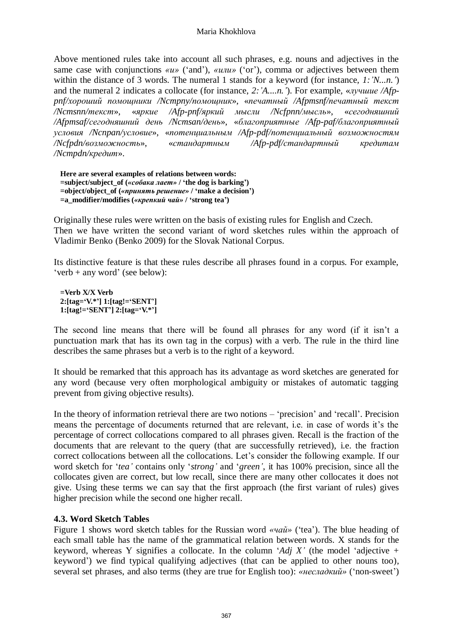#### Maria Khokhlova

Above mentioned rules take into account all such phrases, e.g. nouns and adjectives in the same case with conjunctions *«u»* ('and'), *«uπu»* ('or'), comma or adjectives between them within the distance of 3 words. The numeral 1 stands for a keyword (for instance, *1:'N...n.'*) and the numeral 2 indicates a collocate (for instance, *2:'A....n.'*). For example, «*лучшие /Afppnf/хороший помощники /Ncmpny/помощник*», «*печатный /Afpmsnf/печатный текст /Ncmsnn/текст*», «*яркие /Afp-pnf/яркий мысли /Ncfpnn/мысль*», «*сегодняшний /Afpmsaf/сегодняшний день /Ncmsan/день*», «*благоприятные /Afp-paf/благоприятный условия /Ncnpan/условие*», «*потенциальным /Afp-pdf/потенциальный возможностям /Ncfpdn/возможность*», «*стандартным /Afp-pdf/стандартный кредитам /Ncmpdn/кредит*».

**Here are several examples of relations between words: =subject/subject\_of (***«собака лает»* **/ 'the dog is barking') =object/object\_of (***«принять решение»* **/ 'make a decision') =a\_modifier/modifies (***«крепкий чай»* **/ 'strong tea')**

Originally these rules were written on the basis of existing rules for English and Czech. Then we have written the second variant of word sketches rules within the approach of Vladimir Benko (Benko 2009) for the Slovak National Corpus.

Its distinctive feature is that these rules describe all phrases found in a corpus. For example, 'verb + any word' (see below):

**=Verb X/X Verb 2:[tag='V.\*'] 1:[tag!='SENT'] 1:[tag!='SENT'] 2:[tag='V.\*']** 

The second line means that there will be found all phrases for any word (if it isn't a punctuation mark that has its own tag in the corpus) with a verb. The rule in the third line describes the same phrases but a verb is to the right of a keyword.

It should be remarked that this approach has its advantage as word sketches are generated for any word (because very often morphological ambiguity or mistakes of automatic tagging prevent from giving objective results).

In the theory of information retrieval there are two notions – 'precision' and 'recall'. Precision means the percentage of documents returned that are relevant, i.e. in case of words it's the percentage of correct collocations compared to all phrases given. Recall is the fraction of the documents that are relevant to the query (that are successfully retrieved), i.e. the fraction correct collocations between all the collocations. Let's consider the following example. If our word sketch for '*tea'* contains only '*strong'* and '*green'*, it has 100% precision, since all the collocates given are correct, but low recall, since there are many other collocates it does not give. Using these terms we can say that the first approach (the first variant of rules) gives higher precision while the second one higher recall.

### **4.3. Word Sketch Tables**

Figure 1 shows word sketch tables for the Russian word *«чай»* ('tea'). The blue heading of each small table has the name of the grammatical relation between words. X stands for the keyword, whereas Y signifies a collocate. In the column '*Adj X'* (the model 'adjective + keyword') we find typical qualifying adjectives (that can be applied to other nouns too), several set phrases, and also terms (they are true for English too): *«несладкий»* ('non-sweet')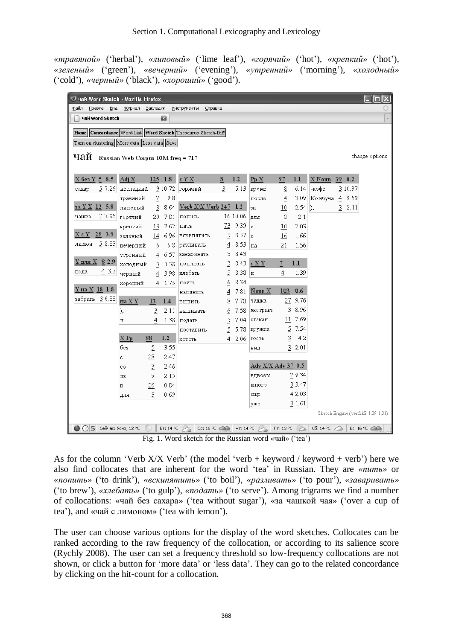*«травяной»* ('herbal'), *«липовый»* ('lime leaf'), *«горячий»* ('hot'), *«крепкий»* ('hot'), *«зеленый»* ('green'), *«вечерний»* ('evening'), *«утренний»* ('morning'), *«холодный»* ('cold'), *«черный»* ('black'), *«хороший»* ('good').

| ♥ чай Word Sketch - Mozilla Firefox                             |                                   |           |                  |           |                                |                |           |                             |                 |                  |          |    |         |                          |
|-----------------------------------------------------------------|-----------------------------------|-----------|------------------|-----------|--------------------------------|----------------|-----------|-----------------------------|-----------------|------------------|----------|----|---------|--------------------------|
| ⊕айл                                                            | Вид<br>Правка                     | Журнал    | <u>З</u> акладки |           | Справка<br><u>И</u> нструменты |                |           |                             |                 |                  |          |    |         |                          |
|                                                                 | чай Word Sketch                   |           |                  | 囩         |                                |                |           |                             |                 |                  |          |    |         | $\overline{\phantom{a}}$ |
| Concordance Word List Word Sketch Thesaurus Sketch-Diff<br>Home |                                   |           |                  |           |                                |                |           |                             |                 |                  |          |    |         |                          |
|                                                                 |                                   |           |                  |           |                                |                |           |                             |                 |                  |          |    |         |                          |
| Turn on clustering More data Less data Save                     |                                   |           |                  |           |                                |                |           |                             |                 |                  |          |    |         |                          |
| чай                                                             | Russian Web Corpus 10M freq = 717 |           |                  |           |                                |                |           |                             |                 |                  |          |    |         | change options           |
|                                                                 |                                   |           |                  |           |                                |                |           |                             |                 |                  |          |    |         |                          |
| X без Y 5 8.5                                                   |                                   | Adj X     | 125              | 1.8       | c Y X                          | 8              | 1.2       | P <sub>p</sub> X            | 97              | 1.1              | $X$ Noun | 39 | 0.2     |                          |
| caxap                                                           | 57.26                             | несладкий |                  | 910.72    | горячий                        | $\overline{3}$ | 5.13      | кроме                       | 8               | 6.14             | -кофе    |    | 3 10.97 |                          |
|                                                                 |                                   | травяной  | 7                | 9.8       |                                |                |           | после                       | $\overline{4}$  | 3.09             | Комбуча  |    | 4 9.59  |                          |
|                                                                 | $3a$ Y X 12 5.8                   | липовый   | 3                | 8.64      | Verb X/X Verb 247              |                | 1.2       | за                          | 10              | 2.54             | I),      |    | 32.11   |                          |
| чашка                                                           | 7 7.95                            | горячий   | 20               | 7.81      | попить                         |                | 16 10.06  | для                         | $\underline{8}$ | 2.1              |          |    |         |                          |
|                                                                 |                                   | крепкий   | 13               | 7.62      | пить                           | 73.            | 9.39      | ĸ                           | 10              | 2.03             |          |    |         |                          |
| X c Y                                                           | 28 3.9                            | зеленый   | 14               | 6.96      | <b>ВСКИПЯТИТЬ</b>              | 3              | 8.57      | c                           | 16              | 1.66             |          |    |         |                          |
| лимон                                                           | 58.83                             | вечерний  | 6                | 6.8       | разливать                      | $\overline{4}$ | 8.53      | на                          | 21              | 1.56             |          |    |         |                          |
|                                                                 |                                   | утренний  | 4                | 6.57      | заваривать                     | $\overline{3}$ | 8.43      |                             |                 |                  |          |    |         |                          |
|                                                                 | <u> Үдля X 8</u> 2.9              | холодный  | $\overline{2}$   | 5.58      | попивать                       | $\overline{2}$ | 8.43      | c X Y                       | 7               | 1.1              |          |    |         |                          |
| вода                                                            | 43.3                              | черный    | $\overline{4}$   | 3.98      | хлебать                        | 3              | 8.38      | и                           | 4               | 1.39             |          |    |         |                          |
|                                                                 |                                   | хороший   | 4                | 1.75      | поить                          | 6              | 8.34      |                             |                 |                  |          |    |         |                          |
|                                                                 | <u>Үна Х 18</u> 1.8               |           |                  |           | наливать                       | 4              | 7.81      | $\underline{\text{Noun}} X$ | 103             | 0.6              |          |    |         |                          |
|                                                                 | забрать 36.88                     | на Х Ү    | 13               | 1.4       | выпить                         | 8              | 7.78      | чашка                       | 27              | 9.76             |          |    |         |                          |
|                                                                 |                                   | ),        | $\overline{2}$   | 2.11      | выпивать                       | 6              | 7.58      | экстракт                    | 3               | 8.96             |          |    |         |                          |
|                                                                 |                                   | и         | 4                | 1.38      | подать                         | 5              | 7.04      | стакан                      |                 | 11 7.69          |          |    |         |                          |
|                                                                 |                                   |           |                  |           | поставить                      | 5              | 5.78      | кружка                      | 2               | - 7.54           |          |    |         |                          |
|                                                                 |                                   | $X$ Pp    | 88               | 1.2       | хотеть                         | 4              | 2.06      | гость                       | $\overline{2}$  | 4.2              |          |    |         |                          |
|                                                                 |                                   | без       | 2                | 3.55      |                                |                |           | вид                         |                 | 32.01            |          |    |         |                          |
|                                                                 |                                   | c         | 28               | 2.47      |                                |                |           |                             |                 |                  |          |    |         |                          |
|                                                                 |                                   | co        | $\overline{3}$   | 2.46      |                                |                |           | Adv X/X Adv 37 0.5          |                 |                  |          |    |         |                          |
|                                                                 |                                   | ИЗ        | 2                | 2.15      |                                |                |           | вдвоем                      |                 | 79.34            |          |    |         |                          |
|                                                                 |                                   | в         | 26               | 0.84      |                                |                |           | много                       |                 | 33.47            |          |    |         |                          |
|                                                                 |                                   | для       | 3                | 0.69      |                                |                |           | еще                         |                 | 4 2.03           |          |    |         |                          |
|                                                                 |                                   |           |                  |           |                                |                |           | уже                         |                 | 3 1.61           |          |    |         |                          |
| Sketch Engine (ver:SkE-1.39-1.31)                               |                                   |           |                  |           |                                |                |           |                             |                 |                  |          |    |         |                          |
|                                                                 | $\bigcirc$ 3 Сейчас: Ясно, 12 °С  |           |                  | BT: 14 °C | Cp: 16 °C ∈ Chan               |                | Чт: 14 °С |                             | $\Pi$ T: 13 °C  | $\sum_{i=1}^{n}$ | C6:14°C  |    |         | Bc: 16 °C @ 20           |

Fig. 1. Word sketch for the Russian word «чай» ('tea')

As for the column 'Verb  $X/X$  Verb' (the model 'verb + keyword / keyword + verb') here we also find collocates that are inherent for the word 'tea' in Russian. They are *«пить»* or *«попить»* ('to drink'), *«вскипятить»* ('to boil'), *«разливать»* ('to pour'), *«заваривать»* ('to brew'), *«хлебать»* ('to gulp'), *«подать»* ('to serve'). Among trigrams we find a number of collocations: «чай без сахара» ('tea without sugar'), «за чашкой чая» ('over a cup of tea'), and «чай с лимоном» ('tea with lemon').

The user can choose various options for the display of the word sketches. Collocates can be ranked according to the raw frequency of the collocation, or according to its salience score (Rychly 2008). The user can set a frequency threshold so low-frequency collocations are not shown, or click a button for 'more data' or 'less data'. They can go to the related concordance by clicking on the hit-count for a collocation.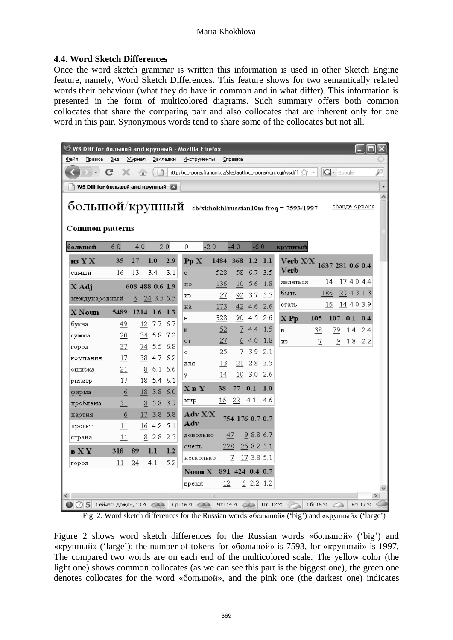### **4.4. Word Sketch Differences**

Once the word sketch grammar is written this information is used in other Sketch Engine feature, namely, Word Sketch Differences. This feature shows for two semantically related words their behaviour (what they do have in common and in what differ). This information is presented in the form of multicolored diagrams. Such summary offers both common collocates that share the comparing pair and also collocates that are inherent only for one word in this pair. Synonymous words tend to share some of the collocates but not all.

| WS Diff for большой and крупный - Mozilla Firefox                                                         |               |                 |                |          |                                                                   |        |                 |              |           |          |                |                  |                 |           |  |
|-----------------------------------------------------------------------------------------------------------|---------------|-----------------|----------------|----------|-------------------------------------------------------------------|--------|-----------------|--------------|-----------|----------|----------------|------------------|-----------------|-----------|--|
| Файл<br>Правка                                                                                            | Вид           | Журнал          |                | Закладки | Инструменты                                                       |        | Справка         |              |           |          |                |                  |                 |           |  |
|                                                                                                           |               | 伶               |                |          | http://corpora.fi.muni.cz/ske/auth/corpora/run.cgi/wsdiff <a></a> |        |                 |              |           |          |                | $ G $ Google     |                 |           |  |
| WS Diff for большой and крупный<br>E.                                                                     |               |                 |                |          |                                                                   |        |                 |              |           |          |                |                  |                 |           |  |
| $\overline{6}$ ОЛЬШОЙ/КРУПНЫЙ сы/xkhokhl/russian10m freq = 7593/1997<br>change options<br>Common patterns |               |                 |                |          |                                                                   |        |                 |              |           |          |                |                  |                 |           |  |
| большой                                                                                                   | 6.0           | 4.0             |                | 2.0      | 0                                                                 | $-2.0$ | $-4.0$          | $-6.0$       |           | крупный  |                |                  |                 |           |  |
| из Ү Х                                                                                                    | 35            | 27              | 1.0            | 2.9      | PpX                                                               | 1484   | 368             |              | $1.2$ 1.1 | Verb X/X |                | 1637 281 0.6 0.4 |                 |           |  |
| самый                                                                                                     | 16            | 13              | 3.4            | 3.1      | c.                                                                | 528    | 58              |              | $6.7$ 3.5 | Verb     |                |                  |                 |           |  |
| X Adj                                                                                                     |               | 608 488 0.6 1.9 |                |          | $\pi$ o                                                           | 136    | 10              | 5.6          | 1.8       | являться |                | 14               | 17 4.0 4.4      |           |  |
| международный                                                                                             |               | 6               | $24$ 3.5 5.5   |          | из                                                                | 27     | 92.             | 3.7          | 5.5       | быть     |                | 186              | 23 4.3 1.3      |           |  |
| X Noun                                                                                                    | 5489          | 1214 1.6 1.3    |                |          | Ha                                                                | 173    | 42.             |              | $4.6$ 2.6 | стать    |                | 16               | 14 4.0 3.9      |           |  |
| буква                                                                                                     | 49            |                 | $12$ 7.7 6.7   |          | в                                                                 | 328    | 90              | 4.5          | 2.6       | $X$ Pp   | 105            | 107              | $0.1 \quad 0.4$ |           |  |
| сумма                                                                                                     | 20            | 34              |                | 5.8 7.2  | к                                                                 | 52     | $\mathcal{I}$   | 4.4          | 1.5       | в        | 38             | 79               | 1.4             | -2.4      |  |
| город                                                                                                     | 37            | 74.             |                | 5.5 6.8  | ОT                                                                | 27     | 6.              | 4.0          | 1.8       | из       | $\overline{1}$ | $\overline{2}$   | $1.8$ 2.2       |           |  |
| компания                                                                                                  | 17            |                 | 38 4.7 6.2     |          | $\circ$                                                           | 25.    | 7               | 3.9          | 2.1       |          |                |                  |                 |           |  |
| ошибка                                                                                                    | 21            | 8               | $6.1\ 5.6$     |          | для                                                               | 13.    | 21              | 2.8          | -3.5      |          |                |                  |                 |           |  |
| размер                                                                                                    | 17            | 18              | $5.4\quad 6.1$ |          | у                                                                 | 14     |                 | $10$ 3.0 2.6 |           |          |                |                  |                 |           |  |
| фирма                                                                                                     | 6             | 18              | 3.8 6.0        |          | <b>XBY</b>                                                        | 38     | 77              | 0.1          | 1.0       |          |                |                  |                 |           |  |
| проблема                                                                                                  | 51            | 8               | 5.8            | 3.3      | мир                                                               | 16     | 22              | 4.1          | 4.6       |          |                |                  |                 |           |  |
| партия                                                                                                    | 6             | 17              | 3.8 5.8        |          | Adv X/X                                                           |        | 754 176 0.7 0.7 |              |           |          |                |                  |                 |           |  |
| проект                                                                                                    | 11            |                 | $16$ 4.2 5.1   |          | Adv                                                               |        |                 |              |           |          |                |                  |                 |           |  |
| страна                                                                                                    | 11            |                 | $8$ 2.8 2.5    |          | довольно                                                          |        | 47              | 9 8.8 6.7    |           |          |                |                  |                 |           |  |
| вXY                                                                                                       | 318           | 89              | 1.1            | 1.2      | очень                                                             | 228    |                 | 268.25.1     |           |          |                |                  |                 |           |  |
| город                                                                                                     | 11            | 24              | 4.1            | 5.2      | несколько                                                         |        | 7               | 173.85.1     |           |          |                |                  |                 |           |  |
|                                                                                                           |               |                 |                |          | Noun X 891 424 0.4 0.7                                            |        |                 |              |           |          |                |                  |                 |           |  |
|                                                                                                           |               |                 |                |          | время                                                             | 12     |                 | 6 2.2 1.2    |           |          |                |                  |                 |           |  |
|                                                                                                           | $\rightarrow$ |                 |                |          |                                                                   |        |                 |              |           |          |                |                  |                 |           |  |
| $\Box$ (C) $\Box$ Ceñuac: Дождь, 13 °C $\Box$ Cp: 16 °C $\Box$ 47: 14 °C $\Box$ $\Box$ $\Pi$ : 12 °C      |               |                 |                |          |                                                                   |        |                 |              |           |          | C6:15°C        |                  |                 | Bc: 17 °C |  |

Fig. 2. Word sketch differences for the Russian words «большой» ('big') and «крупный» ('large')

Figure 2 shows word sketch differences for the Russian words «большой» ('big') and «крупный» ('large'); the number of tokens for «большой» is 7593, for «крупный» is 1997. The compared two words are on each end of the multicolored scale. The yellow color (the light one) shows common collocates (as we can see this part is the biggest one), the green one denotes collocates for the word «большой», and the pink one (the darkest one) indicates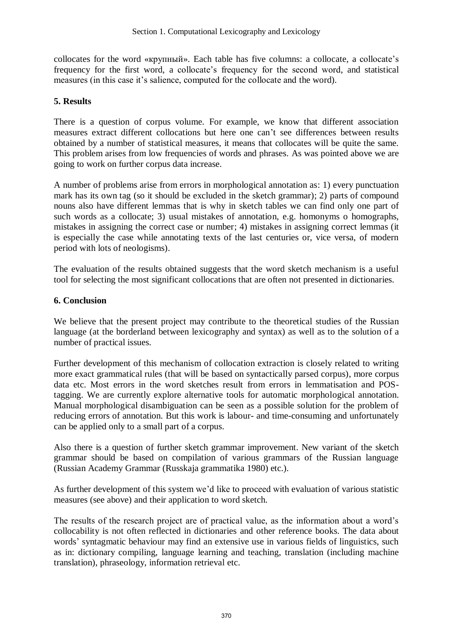collocates for the word «крупный». Each table has five columns: a collocate, a collocate's frequency for the first word, a collocate's frequency for the second word, and statistical measures (in this case it's salience, computed for the collocate and the word).

# **5. Results**

There is a question of corpus volume. For example, we know that different association measures extract different collocations but here one can't see differences between results obtained by a number of statistical measures, it means that collocates will be quite the same. This problem arises from low frequencies of words and phrases. As was pointed above we are going to work on further corpus data increase.

A number of problems arise from errors in morphological annotation as: 1) every punctuation mark has its own tag (so it should be excluded in the sketch grammar); 2) parts of compound nouns also have different lemmas that is why in sketch tables we can find only one part of such words as a collocate; 3) usual mistakes of annotation, e.g. homonyms o homographs, mistakes in assigning the correct case or number; 4) mistakes in assigning correct lemmas (it is especially the case while annotating texts of the last centuries or, vice versa, of modern period with lots of neologisms).

The evaluation of the results obtained suggests that the word sketch mechanism is a useful tool for selecting the most significant collocations that are often not presented in dictionaries.

## **6. Conclusion**

We believe that the present project may contribute to the theoretical studies of the Russian language (at the borderland between lexicography and syntax) as well as to the solution of a number of practical issues.

Further development of this mechanism of collocation extraction is closely related to writing more exact grammatical rules (that will be based on syntactically parsed corpus), more corpus data etc. Most errors in the word sketches result from errors in lemmatisation and POStagging. We are currently explore alternative tools for automatic morphological annotation. Manual morphological disambiguation can be seen as a possible solution for the problem of reducing errors of annotation. But this work is labour- and time-consuming and unfortunately can be applied only to a small part of a corpus.

Also there is a question of further sketch grammar improvement. New variant of the sketch grammar should be based on compilation of various grammars of the Russian language (Russian Academy Grammar (Russkaja grammatika 1980) etc.).

As further development of this system we'd like to proceed with evaluation of various statistic measures (see above) and their application to word sketch.

The results of the research project are of practical value, as the information about a word's collocability is not often reflected in dictionaries and other reference books. The data about words' syntagmatic behaviour may find an extensive use in various fields of linguistics, such as in: dictionary compiling, language learning and teaching, translation (including machine translation), phraseology, information retrieval etc.